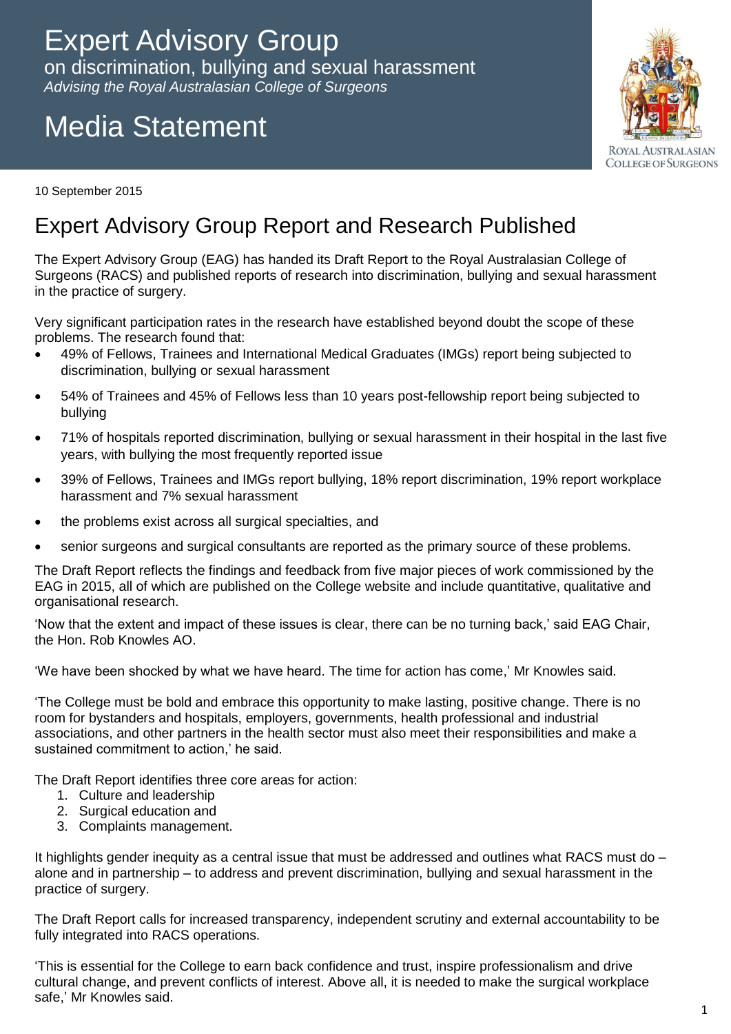## Expert Advisory Group

on discrimination, bullying and sexual harassment *Advising the Royal Australasian College of Surgeons*

# Media Statement



10 September 2015

#### Expert Advisory Group Report and Research Published

The Expert Advisory Group (EAG) has handed its Draft Report to the Royal Australasian College of Surgeons (RACS) and published reports of research into discrimination, bullying and sexual harassment in the practice of surgery.

Very significant participation rates in the research have established beyond doubt the scope of these problems. The research found that:

- 49% of Fellows, Trainees and International Medical Graduates (IMGs) report being subjected to discrimination, bullying or sexual harassment
- 54% of Trainees and 45% of Fellows less than 10 years post-fellowship report being subjected to bullying
- 71% of hospitals reported discrimination, bullying or sexual harassment in their hospital in the last five years, with bullying the most frequently reported issue
- 39% of Fellows, Trainees and IMGs report bullying, 18% report discrimination, 19% report workplace harassment and 7% sexual harassment
- the problems exist across all surgical specialties, and
- senior surgeons and surgical consultants are reported as the primary source of these problems.

The Draft Report reflects the findings and feedback from five major pieces of work commissioned by the EAG in 2015, all of which are published on the College website and include quantitative, qualitative and organisational research.

'Now that the extent and impact of these issues is clear, there can be no turning back,' said EAG Chair, the Hon. Rob Knowles AO.

'We have been shocked by what we have heard. The time for action has come,' Mr Knowles said.

'The College must be bold and embrace this opportunity to make lasting, positive change. There is no room for bystanders and hospitals, employers, governments, health professional and industrial associations, and other partners in the health sector must also meet their responsibilities and make a sustained commitment to action,' he said.

The Draft Report identifies three core areas for action:

- 1. Culture and leadership
- 2. Surgical education and
- 3. Complaints management.

It highlights gender inequity as a central issue that must be addressed and outlines what RACS must do – alone and in partnership – to address and prevent discrimination, bullying and sexual harassment in the practice of surgery.

The Draft Report calls for increased transparency, independent scrutiny and external accountability to be fully integrated into RACS operations.

'This is essential for the College to earn back confidence and trust, inspire professionalism and drive cultural change, and prevent conflicts of interest. Above all, it is needed to make the surgical workplace safe,' Mr Knowles said.